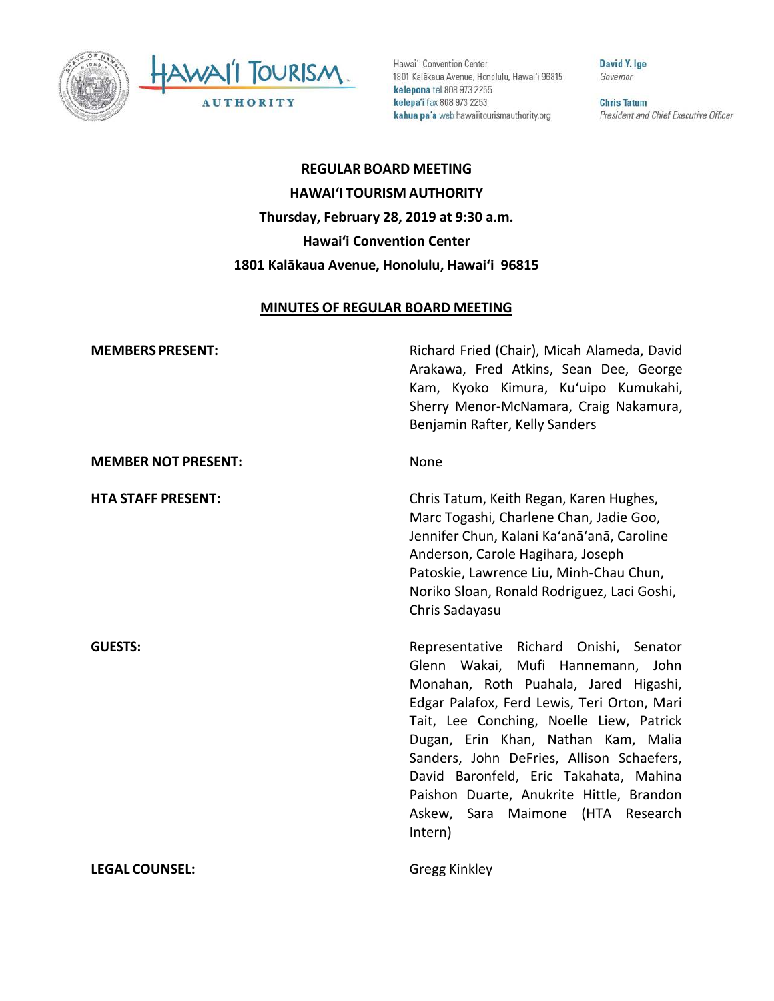



Hawai'i Convention Center 1801 Kalākaua Avenue, Honolulu, Hawai'i 96815 kelepona tel 808 973 2255 kelepa'i fax 808 973 2253 kahua pa'a web hawaiitourismauthority.org

David Y. Ige Governor

**Chris Tatum** President and Chief Executive Officer

**REGULAR BOARD MEETING HAWAI'I TOURISM AUTHORITY Thursday, February 28, 2019 at 9:30 a.m. Hawai'i Convention Center 1801 Kalākaua Avenue, Honolulu, Hawai'i 96815**

#### **MINUTES OF REGULAR BOARD MEETING**

**MEMBERS PRESENT:** Richard Fried (Chair), Micah Alameda, David Arakawa, Fred Atkins, Sean Dee, George Kam, Kyoko Kimura, Ku'uipo Kumukahi, Sherry Menor-McNamara, Craig Nakamura, Benjamin Rafter, Kelly Sanders **MEMBER NOT PRESENT:** None **HTA STAFF PRESENT:** Chris Tatum, Keith Regan, Karen Hughes, Marc Togashi, Charlene Chan, Jadie Goo, Jennifer Chun, Kalani Ka'anā'anā, Caroline Anderson, Carole Hagihara, Joseph Patoskie, Lawrence Liu, Minh-Chau Chun, Noriko Sloan, Ronald Rodriguez, Laci Goshi, Chris Sadayasu **GUESTS:** Representative Richard Onishi, Senator Glenn Wakai, Mufi Hannemann, John Monahan, Roth Puahala, Jared Higashi, Edgar Palafox, Ferd Lewis, Teri Orton, Mari Tait, Lee Conching, Noelle Liew, Patrick Dugan, Erin Khan, Nathan Kam, Malia Sanders, John DeFries, Allison Schaefers, David Baronfeld, Eric Takahata, Mahina Paishon Duarte, Anukrite Hittle, Brandon Askew, Sara Maimone (HTA Research Intern) **LEGAL COUNSEL:** Gregg Kinkley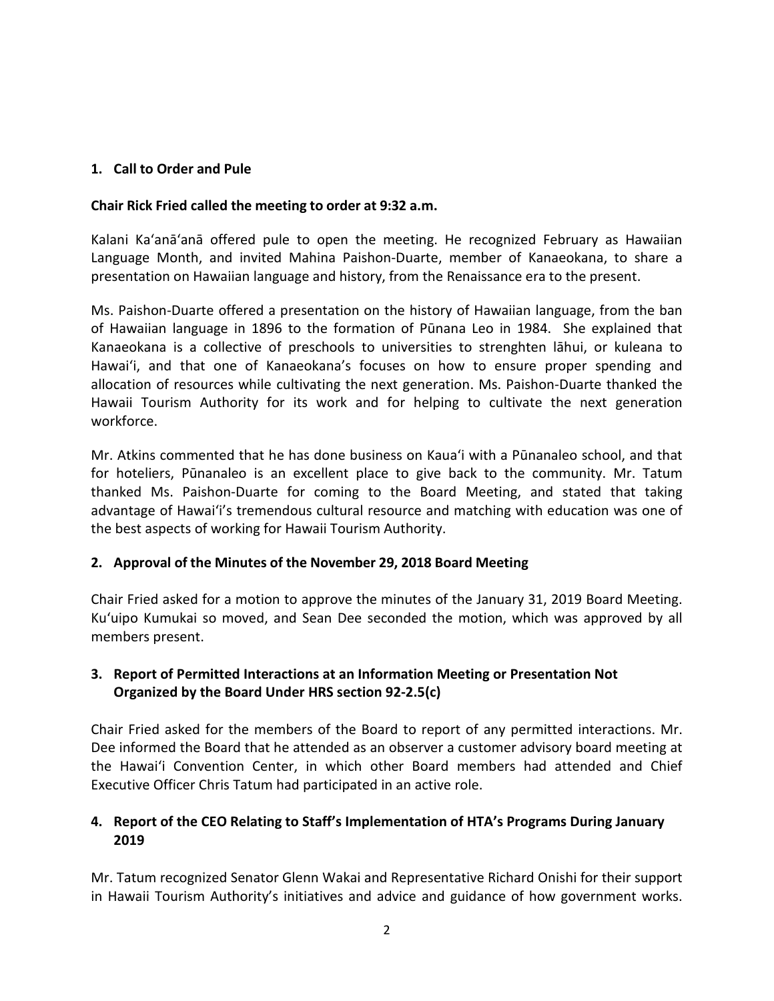# **1. Call to Order and Pule**

### **Chair Rick Fried called the meeting to order at 9:32 a.m.**

Kalani Ka'anā'anā offered pule to open the meeting. He recognized February as Hawaiian Language Month, and invited Mahina Paishon-Duarte, member of Kanaeokana, to share a presentation on Hawaiian language and history, from the Renaissance era to the present.

Ms. Paishon-Duarte offered a presentation on the history of Hawaiian language, from the ban of Hawaiian language in 1896 to the formation of Pūnana Leo in 1984. She explained that Kanaeokana is a collective of preschools to universities to strenghten lāhui, or kuleana to Hawai'i, and that one of Kanaeokana's focuses on how to ensure proper spending and allocation of resources while cultivating the next generation. Ms. Paishon-Duarte thanked the Hawaii Tourism Authority for its work and for helping to cultivate the next generation workforce.

Mr. Atkins commented that he has done business on Kaua'i with a Pūnanaleo school, and that for hoteliers, Pūnanaleo is an excellent place to give back to the community. Mr. Tatum thanked Ms. Paishon-Duarte for coming to the Board Meeting, and stated that taking advantage of Hawai'i's tremendous cultural resource and matching with education was one of the best aspects of working for Hawaii Tourism Authority.

# **2. Approval of the Minutes of the November 29, 2018 Board Meeting**

Chair Fried asked for a motion to approve the minutes of the January 31, 2019 Board Meeting. Ku'uipo Kumukai so moved, and Sean Dee seconded the motion, which was approved by all members present.

# **3. Report of Permitted Interactions at an Information Meeting or Presentation Not Organized by the Board Under HRS section 92-2.5(c)**

Chair Fried asked for the members of the Board to report of any permitted interactions. Mr. Dee informed the Board that he attended as an observer a customer advisory board meeting at the Hawai'i Convention Center, in which other Board members had attended and Chief Executive Officer Chris Tatum had participated in an active role.

# **4. Report of the CEO Relating to Staff's Implementation of HTA's Programs During January 2019**

Mr. Tatum recognized Senator Glenn Wakai and Representative Richard Onishi for their support in Hawaii Tourism Authority's initiatives and advice and guidance of how government works.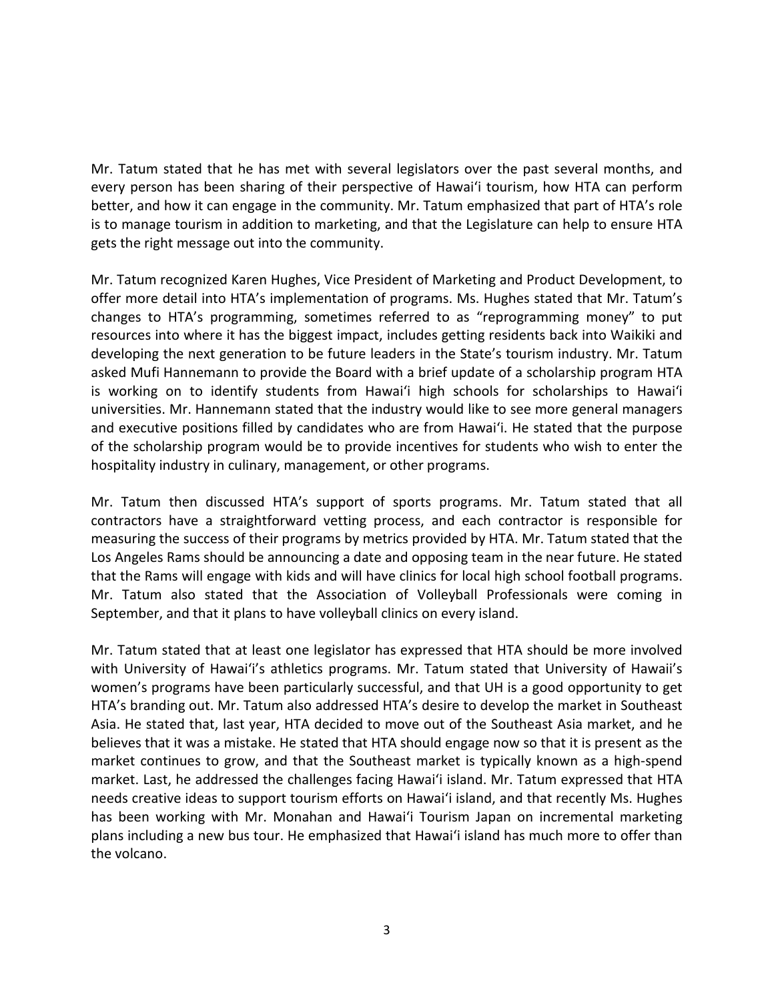Mr. Tatum stated that he has met with several legislators over the past several months, and every person has been sharing of their perspective of Hawai'i tourism, how HTA can perform better, and how it can engage in the community. Mr. Tatum emphasized that part of HTA's role is to manage tourism in addition to marketing, and that the Legislature can help to ensure HTA gets the right message out into the community.

Mr. Tatum recognized Karen Hughes, Vice President of Marketing and Product Development, to offer more detail into HTA's implementation of programs. Ms. Hughes stated that Mr. Tatum's changes to HTA's programming, sometimes referred to as "reprogramming money" to put resources into where it has the biggest impact, includes getting residents back into Waikiki and developing the next generation to be future leaders in the State's tourism industry. Mr. Tatum asked Mufi Hannemann to provide the Board with a brief update of a scholarship program HTA is working on to identify students from Hawai'i high schools for scholarships to Hawai'i universities. Mr. Hannemann stated that the industry would like to see more general managers and executive positions filled by candidates who are from Hawai'i. He stated that the purpose of the scholarship program would be to provide incentives for students who wish to enter the hospitality industry in culinary, management, or other programs.

Mr. Tatum then discussed HTA's support of sports programs. Mr. Tatum stated that all contractors have a straightforward vetting process, and each contractor is responsible for measuring the success of their programs by metrics provided by HTA. Mr. Tatum stated that the Los Angeles Rams should be announcing a date and opposing team in the near future. He stated that the Rams will engage with kids and will have clinics for local high school football programs. Mr. Tatum also stated that the Association of Volleyball Professionals were coming in September, and that it plans to have volleyball clinics on every island.

Mr. Tatum stated that at least one legislator has expressed that HTA should be more involved with University of Hawai'i's athletics programs. Mr. Tatum stated that University of Hawaii's women's programs have been particularly successful, and that UH is a good opportunity to get HTA's branding out. Mr. Tatum also addressed HTA's desire to develop the market in Southeast Asia. He stated that, last year, HTA decided to move out of the Southeast Asia market, and he believes that it was a mistake. He stated that HTA should engage now so that it is present as the market continues to grow, and that the Southeast market is typically known as a high-spend market. Last, he addressed the challenges facing Hawai'i island. Mr. Tatum expressed that HTA needs creative ideas to support tourism efforts on Hawai'i island, and that recently Ms. Hughes has been working with Mr. Monahan and Hawai'i Tourism Japan on incremental marketing plans including a new bus tour. He emphasized that Hawai'i island has much more to offer than the volcano.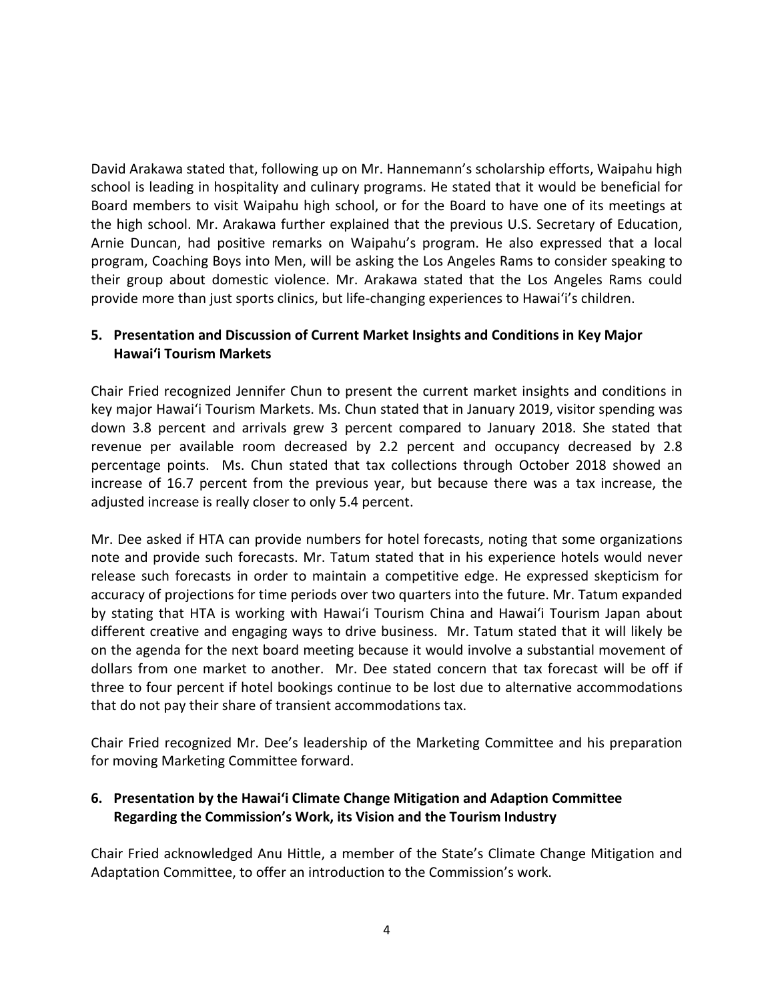David Arakawa stated that, following up on Mr. Hannemann's scholarship efforts, Waipahu high school is leading in hospitality and culinary programs. He stated that it would be beneficial for Board members to visit Waipahu high school, or for the Board to have one of its meetings at the high school. Mr. Arakawa further explained that the previous U.S. Secretary of Education, Arnie Duncan, had positive remarks on Waipahu's program. He also expressed that a local program, Coaching Boys into Men, will be asking the Los Angeles Rams to consider speaking to their group about domestic violence. Mr. Arakawa stated that the Los Angeles Rams could provide more than just sports clinics, but life-changing experiences to Hawai'i's children.

# **5. Presentation and Discussion of Current Market Insights and Conditions in Key Major Hawai'i Tourism Markets**

Chair Fried recognized Jennifer Chun to present the current market insights and conditions in key major Hawai'i Tourism Markets. Ms. Chun stated that in January 2019, visitor spending was down 3.8 percent and arrivals grew 3 percent compared to January 2018. She stated that revenue per available room decreased by 2.2 percent and occupancy decreased by 2.8 percentage points. Ms. Chun stated that tax collections through October 2018 showed an increase of 16.7 percent from the previous year, but because there was a tax increase, the adjusted increase is really closer to only 5.4 percent.

Mr. Dee asked if HTA can provide numbers for hotel forecasts, noting that some organizations note and provide such forecasts. Mr. Tatum stated that in his experience hotels would never release such forecasts in order to maintain a competitive edge. He expressed skepticism for accuracy of projections for time periods over two quarters into the future. Mr. Tatum expanded by stating that HTA is working with Hawai'i Tourism China and Hawai'i Tourism Japan about different creative and engaging ways to drive business. Mr. Tatum stated that it will likely be on the agenda for the next board meeting because it would involve a substantial movement of dollars from one market to another. Mr. Dee stated concern that tax forecast will be off if three to four percent if hotel bookings continue to be lost due to alternative accommodations that do not pay their share of transient accommodations tax.

Chair Fried recognized Mr. Dee's leadership of the Marketing Committee and his preparation for moving Marketing Committee forward.

# **6. Presentation by the Hawai'i Climate Change Mitigation and Adaption Committee Regarding the Commission's Work, its Vision and the Tourism Industry**

Chair Fried acknowledged Anu Hittle, a member of the State's Climate Change Mitigation and Adaptation Committee, to offer an introduction to the Commission's work.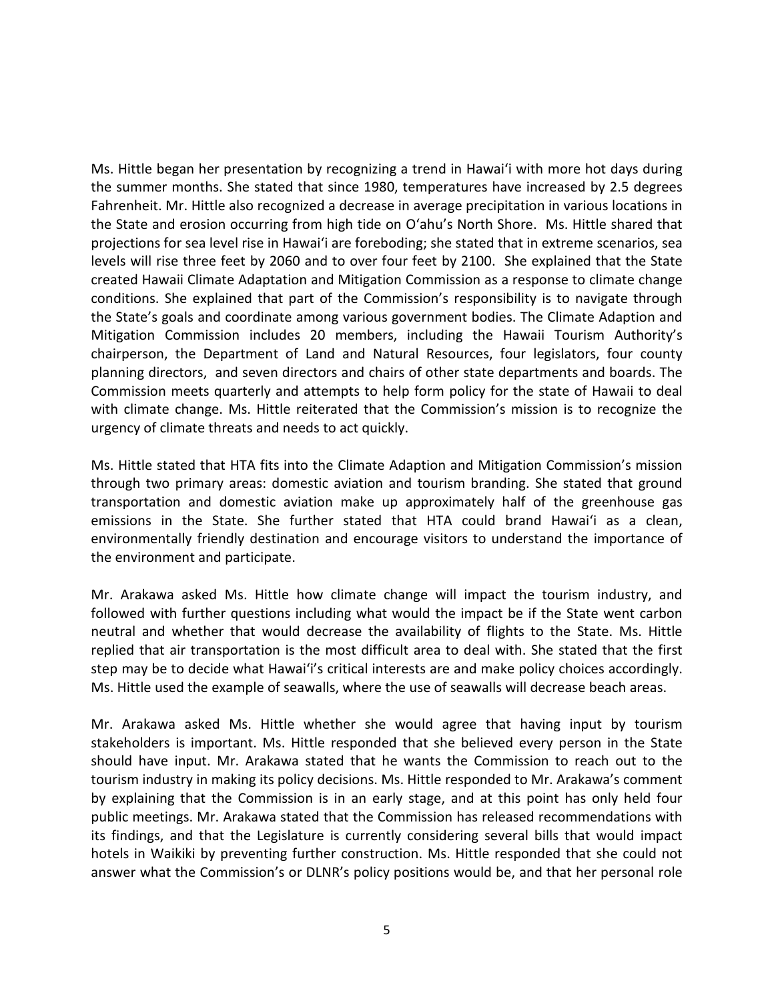Ms. Hittle began her presentation by recognizing a trend in Hawai'i with more hot days during the summer months. She stated that since 1980, temperatures have increased by 2.5 degrees Fahrenheit. Mr. Hittle also recognized a decrease in average precipitation in various locations in the State and erosion occurring from high tide on O'ahu's North Shore. Ms. Hittle shared that projections for sea level rise in Hawai'i are foreboding; she stated that in extreme scenarios, sea levels will rise three feet by 2060 and to over four feet by 2100. She explained that the State created Hawaii Climate Adaptation and Mitigation Commission as a response to climate change conditions. She explained that part of the Commission's responsibility is to navigate through the State's goals and coordinate among various government bodies. The Climate Adaption and Mitigation Commission includes 20 members, including the Hawaii Tourism Authority's chairperson, the Department of Land and Natural Resources, four legislators, four county planning directors, and seven directors and chairs of other state departments and boards. The Commission meets quarterly and attempts to help form policy for the state of Hawaii to deal with climate change. Ms. Hittle reiterated that the Commission's mission is to recognize the urgency of climate threats and needs to act quickly.

Ms. Hittle stated that HTA fits into the Climate Adaption and Mitigation Commission's mission through two primary areas: domestic aviation and tourism branding. She stated that ground transportation and domestic aviation make up approximately half of the greenhouse gas emissions in the State. She further stated that HTA could brand Hawai'i as a clean, environmentally friendly destination and encourage visitors to understand the importance of the environment and participate.

Mr. Arakawa asked Ms. Hittle how climate change will impact the tourism industry, and followed with further questions including what would the impact be if the State went carbon neutral and whether that would decrease the availability of flights to the State. Ms. Hittle replied that air transportation is the most difficult area to deal with. She stated that the first step may be to decide what Hawai'i's critical interests are and make policy choices accordingly. Ms. Hittle used the example of seawalls, where the use of seawalls will decrease beach areas.

Mr. Arakawa asked Ms. Hittle whether she would agree that having input by tourism stakeholders is important. Ms. Hittle responded that she believed every person in the State should have input. Mr. Arakawa stated that he wants the Commission to reach out to the tourism industry in making its policy decisions. Ms. Hittle responded to Mr. Arakawa's comment by explaining that the Commission is in an early stage, and at this point has only held four public meetings. Mr. Arakawa stated that the Commission has released recommendations with its findings, and that the Legislature is currently considering several bills that would impact hotels in Waikiki by preventing further construction. Ms. Hittle responded that she could not answer what the Commission's or DLNR's policy positions would be, and that her personal role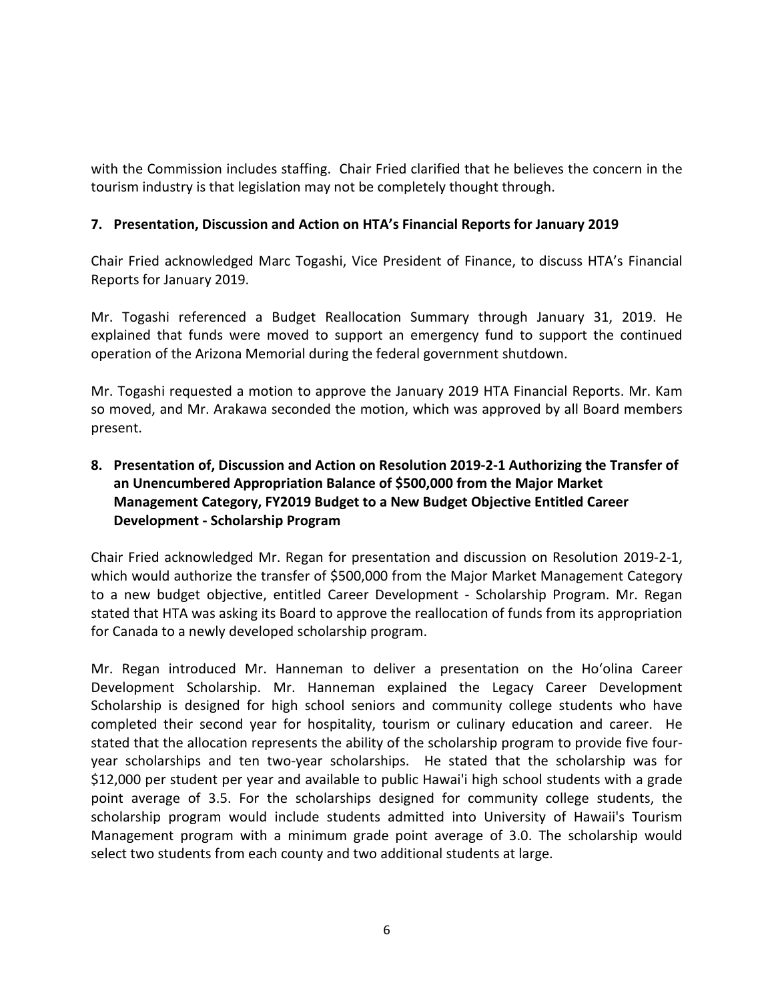with the Commission includes staffing. Chair Fried clarified that he believes the concern in the tourism industry is that legislation may not be completely thought through.

### **7. Presentation, Discussion and Action on HTA's Financial Reports for January 2019**

Chair Fried acknowledged Marc Togashi, Vice President of Finance, to discuss HTA's Financial Reports for January 2019.

Mr. Togashi referenced a Budget Reallocation Summary through January 31, 2019. He explained that funds were moved to support an emergency fund to support the continued operation of the Arizona Memorial during the federal government shutdown.

Mr. Togashi requested a motion to approve the January 2019 HTA Financial Reports. Mr. Kam so moved, and Mr. Arakawa seconded the motion, which was approved by all Board members present.

# **8. Presentation of, Discussion and Action on Resolution 2019-2-1 Authorizing the Transfer of an Unencumbered Appropriation Balance of \$500,000 from the Major Market Management Category, FY2019 Budget to a New Budget Objective Entitled Career Development - Scholarship Program**

Chair Fried acknowledged Mr. Regan for presentation and discussion on Resolution 2019-2-1, which would authorize the transfer of \$500,000 from the Major Market Management Category to a new budget objective, entitled Career Development - Scholarship Program. Mr. Regan stated that HTA was asking its Board to approve the reallocation of funds from its appropriation for Canada to a newly developed scholarship program.

Mr. Regan introduced Mr. Hanneman to deliver a presentation on the Ho'olina Career Development Scholarship. Mr. Hanneman explained the Legacy Career Development Scholarship is designed for high school seniors and community college students who have completed their second year for hospitality, tourism or culinary education and career. He stated that the allocation represents the ability of the scholarship program to provide five fouryear scholarships and ten two-year scholarships. He stated that the scholarship was for \$12,000 per student per year and available to public Hawai'i high school students with a grade point average of 3.5. For the scholarships designed for community college students, the scholarship program would include students admitted into University of Hawaii's Tourism Management program with a minimum grade point average of 3.0. The scholarship would select two students from each county and two additional students at large.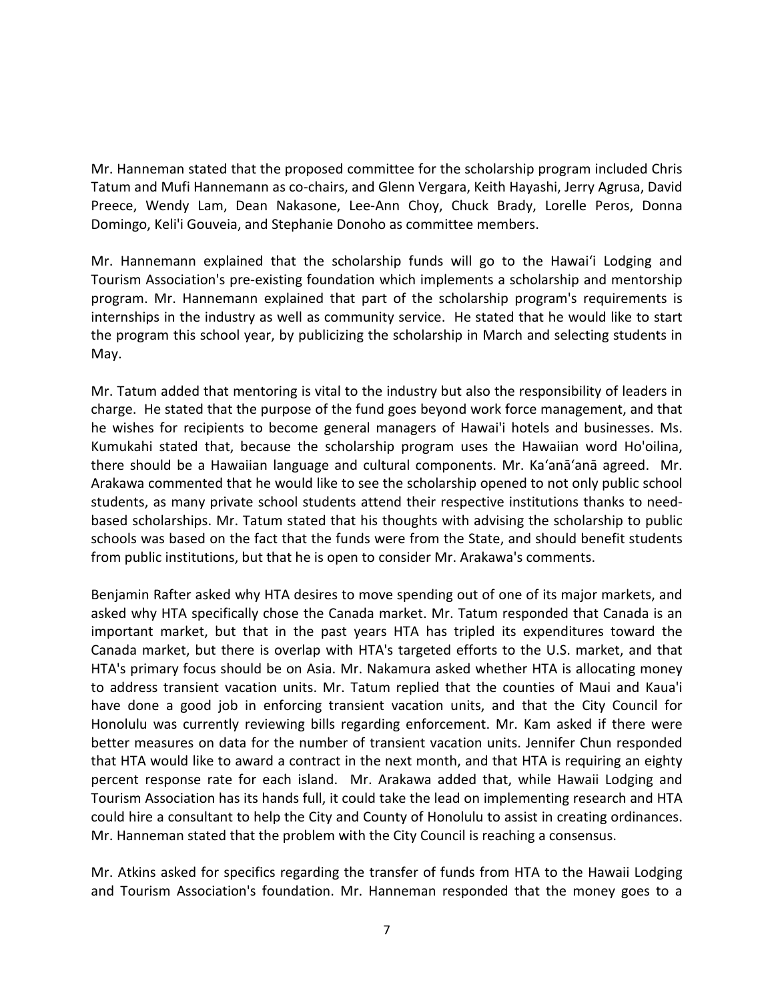Mr. Hanneman stated that the proposed committee for the scholarship program included Chris Tatum and Mufi Hannemann as co-chairs, and Glenn Vergara, Keith Hayashi, Jerry Agrusa, David Preece, Wendy Lam, Dean Nakasone, Lee-Ann Choy, Chuck Brady, Lorelle Peros, Donna Domingo, Keli'i Gouveia, and Stephanie Donoho as committee members.

Mr. Hannemann explained that the scholarship funds will go to the Hawai'i Lodging and Tourism Association's pre-existing foundation which implements a scholarship and mentorship program. Mr. Hannemann explained that part of the scholarship program's requirements is internships in the industry as well as community service. He stated that he would like to start the program this school year, by publicizing the scholarship in March and selecting students in May.

Mr. Tatum added that mentoring is vital to the industry but also the responsibility of leaders in charge. He stated that the purpose of the fund goes beyond work force management, and that he wishes for recipients to become general managers of Hawai'i hotels and businesses. Ms. Kumukahi stated that, because the scholarship program uses the Hawaiian word Ho'oilina, there should be a Hawaiian language and cultural components. Mr. Ka'anā'anā agreed. Mr. Arakawa commented that he would like to see the scholarship opened to not only public school students, as many private school students attend their respective institutions thanks to needbased scholarships. Mr. Tatum stated that his thoughts with advising the scholarship to public schools was based on the fact that the funds were from the State, and should benefit students from public institutions, but that he is open to consider Mr. Arakawa's comments.

Benjamin Rafter asked why HTA desires to move spending out of one of its major markets, and asked why HTA specifically chose the Canada market. Mr. Tatum responded that Canada is an important market, but that in the past years HTA has tripled its expenditures toward the Canada market, but there is overlap with HTA's targeted efforts to the U.S. market, and that HTA's primary focus should be on Asia. Mr. Nakamura asked whether HTA is allocating money to address transient vacation units. Mr. Tatum replied that the counties of Maui and Kaua'i have done a good job in enforcing transient vacation units, and that the City Council for Honolulu was currently reviewing bills regarding enforcement. Mr. Kam asked if there were better measures on data for the number of transient vacation units. Jennifer Chun responded that HTA would like to award a contract in the next month, and that HTA is requiring an eighty percent response rate for each island. Mr. Arakawa added that, while Hawaii Lodging and Tourism Association has its hands full, it could take the lead on implementing research and HTA could hire a consultant to help the City and County of Honolulu to assist in creating ordinances. Mr. Hanneman stated that the problem with the City Council is reaching a consensus.

Mr. Atkins asked for specifics regarding the transfer of funds from HTA to the Hawaii Lodging and Tourism Association's foundation. Mr. Hanneman responded that the money goes to a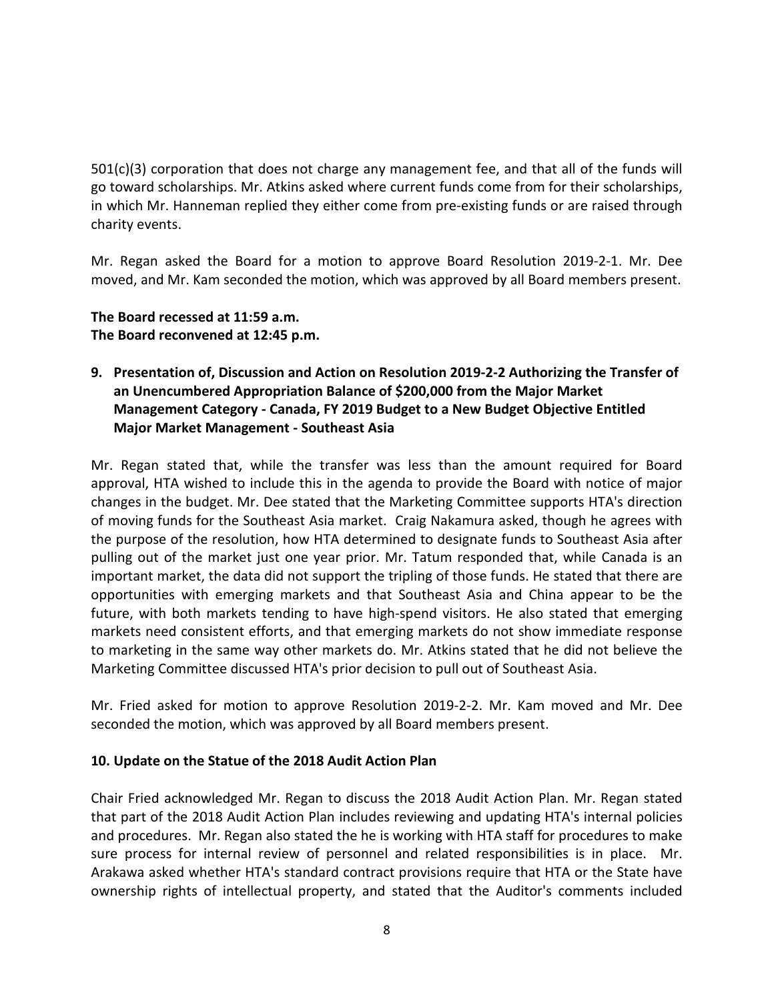$501(c)(3)$  corporation that does not charge any management fee, and that all of the funds will go toward scholarships. Mr. Atkins asked where current funds come from for their scholarships, in which Mr. Hanneman replied they either come from pre-existing funds or are raised through charity events.

Mr. Regan asked the Board for a motion to approve Board Resolution 2019-2-1. Mr. Dee moved, and Mr. Kam seconded the motion, which was approved by all Board members present.

### **The Board recessed at 11:59 a.m. The Board reconvened at 12:45 p.m.**

**9. Presentation of, Discussion and Action on Resolution 2019-2-2 Authorizing the Transfer of an Unencumbered Appropriation Balance of \$200,000 from the Major Market Management Category - Canada, FY 2019 Budget to a New Budget Objective Entitled Major Market Management - Southeast Asia**

Mr. Regan stated that, while the transfer was less than the amount required for Board approval, HTA wished to include this in the agenda to provide the Board with notice of major changes in the budget. Mr. Dee stated that the Marketing Committee supports HTA's direction of moving funds for the Southeast Asia market. Craig Nakamura asked, though he agrees with the purpose of the resolution, how HTA determined to designate funds to Southeast Asia after pulling out of the market just one year prior. Mr. Tatum responded that, while Canada is an important market, the data did not support the tripling of those funds. He stated that there are opportunities with emerging markets and that Southeast Asia and China appear to be the future, with both markets tending to have high-spend visitors. He also stated that emerging markets need consistent efforts, and that emerging markets do not show immediate response to marketing in the same way other markets do. Mr. Atkins stated that he did not believe the Marketing Committee discussed HTA's prior decision to pull out of Southeast Asia.

Mr. Fried asked for motion to approve Resolution 2019-2-2. Mr. Kam moved and Mr. Dee seconded the motion, which was approved by all Board members present.

# **10. Update on the Statue of the 2018 Audit Action Plan**

Chair Fried acknowledged Mr. Regan to discuss the 2018 Audit Action Plan. Mr. Regan stated that part of the 2018 Audit Action Plan includes reviewing and updating HTA's internal policies and procedures. Mr. Regan also stated the he is working with HTA staff for procedures to make sure process for internal review of personnel and related responsibilities is in place. Mr. Arakawa asked whether HTA's standard contract provisions require that HTA or the State have ownership rights of intellectual property, and stated that the Auditor's comments included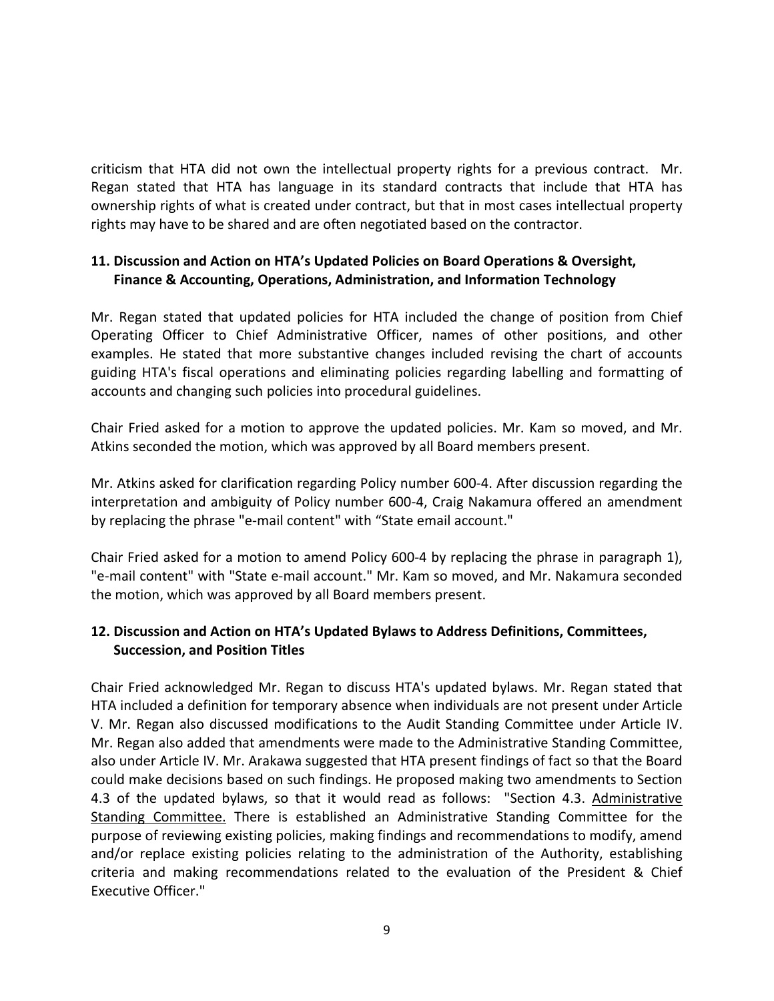criticism that HTA did not own the intellectual property rights for a previous contract. Mr. Regan stated that HTA has language in its standard contracts that include that HTA has ownership rights of what is created under contract, but that in most cases intellectual property rights may have to be shared and are often negotiated based on the contractor.

# **11. Discussion and Action on HTA's Updated Policies on Board Operations & Oversight, Finance & Accounting, Operations, Administration, and Information Technology**

Mr. Regan stated that updated policies for HTA included the change of position from Chief Operating Officer to Chief Administrative Officer, names of other positions, and other examples. He stated that more substantive changes included revising the chart of accounts guiding HTA's fiscal operations and eliminating policies regarding labelling and formatting of accounts and changing such policies into procedural guidelines.

Chair Fried asked for a motion to approve the updated policies. Mr. Kam so moved, and Mr. Atkins seconded the motion, which was approved by all Board members present.

Mr. Atkins asked for clarification regarding Policy number 600-4. After discussion regarding the interpretation and ambiguity of Policy number 600-4, Craig Nakamura offered an amendment by replacing the phrase "e-mail content" with "State email account."

Chair Fried asked for a motion to amend Policy 600-4 by replacing the phrase in paragraph 1), "e-mail content" with "State e-mail account." Mr. Kam so moved, and Mr. Nakamura seconded the motion, which was approved by all Board members present.

# **12. Discussion and Action on HTA's Updated Bylaws to Address Definitions, Committees, Succession, and Position Titles**

Chair Fried acknowledged Mr. Regan to discuss HTA's updated bylaws. Mr. Regan stated that HTA included a definition for temporary absence when individuals are not present under Article V. Mr. Regan also discussed modifications to the Audit Standing Committee under Article IV. Mr. Regan also added that amendments were made to the Administrative Standing Committee, also under Article IV. Mr. Arakawa suggested that HTA present findings of fact so that the Board could make decisions based on such findings. He proposed making two amendments to Section 4.3 of the updated bylaws, so that it would read as follows: "Section 4.3. Administrative Standing Committee. There is established an Administrative Standing Committee for the purpose of reviewing existing policies, making findings and recommendations to modify, amend and/or replace existing policies relating to the administration of the Authority, establishing criteria and making recommendations related to the evaluation of the President & Chief Executive Officer."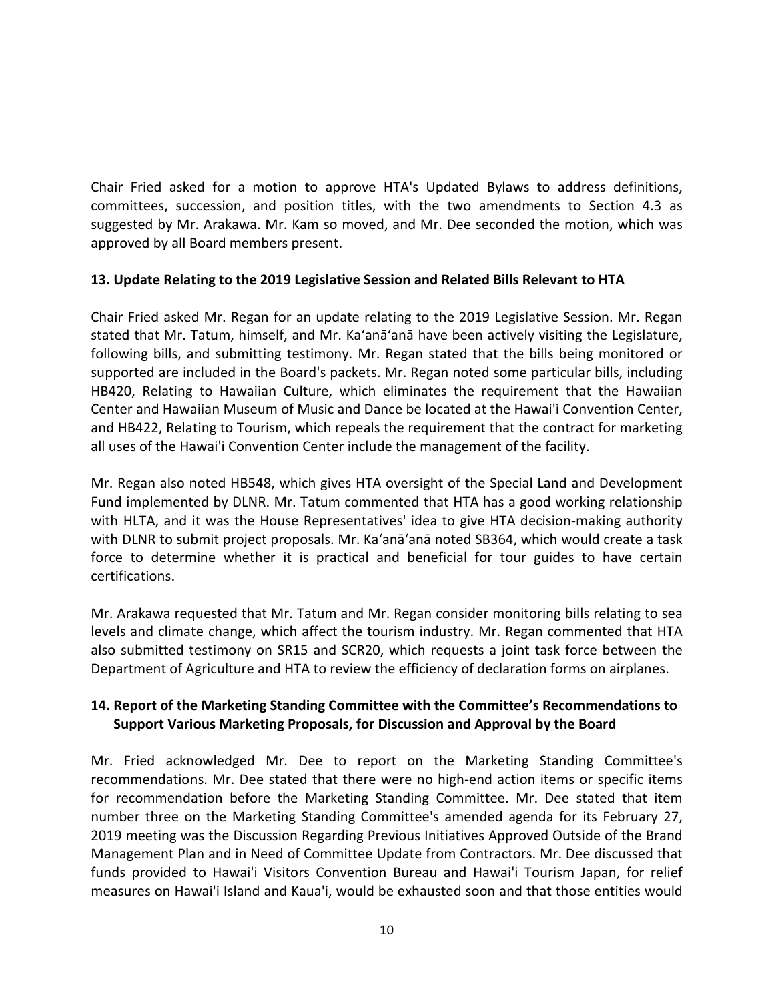Chair Fried asked for a motion to approve HTA's Updated Bylaws to address definitions, committees, succession, and position titles, with the two amendments to Section 4.3 as suggested by Mr. Arakawa. Mr. Kam so moved, and Mr. Dee seconded the motion, which was approved by all Board members present.

# **13. Update Relating to the 2019 Legislative Session and Related Bills Relevant to HTA**

Chair Fried asked Mr. Regan for an update relating to the 2019 Legislative Session. Mr. Regan stated that Mr. Tatum, himself, and Mr. Ka'anā'anā have been actively visiting the Legislature, following bills, and submitting testimony. Mr. Regan stated that the bills being monitored or supported are included in the Board's packets. Mr. Regan noted some particular bills, including HB420, Relating to Hawaiian Culture, which eliminates the requirement that the Hawaiian Center and Hawaiian Museum of Music and Dance be located at the Hawai'i Convention Center, and HB422, Relating to Tourism, which repeals the requirement that the contract for marketing all uses of the Hawai'i Convention Center include the management of the facility.

Mr. Regan also noted HB548, which gives HTA oversight of the Special Land and Development Fund implemented by DLNR. Mr. Tatum commented that HTA has a good working relationship with HLTA, and it was the House Representatives' idea to give HTA decision-making authority with DLNR to submit project proposals. Mr. Ka'anā'anā noted SB364, which would create a task force to determine whether it is practical and beneficial for tour guides to have certain certifications.

Mr. Arakawa requested that Mr. Tatum and Mr. Regan consider monitoring bills relating to sea levels and climate change, which affect the tourism industry. Mr. Regan commented that HTA also submitted testimony on SR15 and SCR20, which requests a joint task force between the Department of Agriculture and HTA to review the efficiency of declaration forms on airplanes.

# **14. Report of the Marketing Standing Committee with the Committee's Recommendations to Support Various Marketing Proposals, for Discussion and Approval by the Board**

Mr. Fried acknowledged Mr. Dee to report on the Marketing Standing Committee's recommendations. Mr. Dee stated that there were no high-end action items or specific items for recommendation before the Marketing Standing Committee. Mr. Dee stated that item number three on the Marketing Standing Committee's amended agenda for its February 27, 2019 meeting was the Discussion Regarding Previous Initiatives Approved Outside of the Brand Management Plan and in Need of Committee Update from Contractors. Mr. Dee discussed that funds provided to Hawai'i Visitors Convention Bureau and Hawai'i Tourism Japan, for relief measures on Hawai'i Island and Kaua'i, would be exhausted soon and that those entities would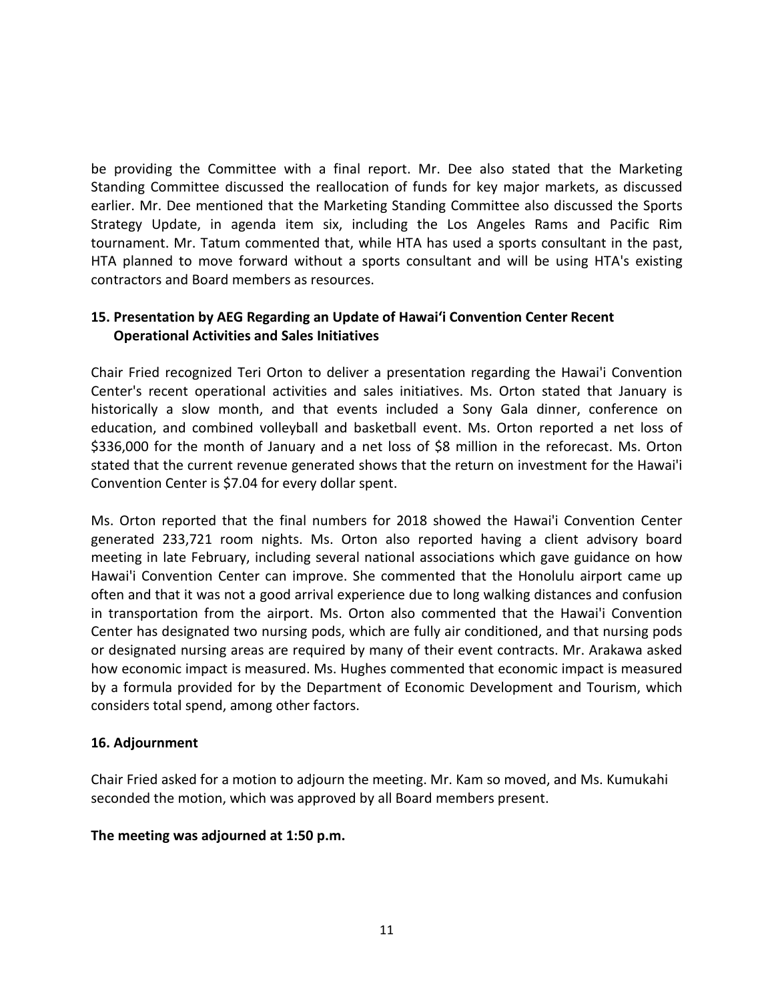be providing the Committee with a final report. Mr. Dee also stated that the Marketing Standing Committee discussed the reallocation of funds for key major markets, as discussed earlier. Mr. Dee mentioned that the Marketing Standing Committee also discussed the Sports Strategy Update, in agenda item six, including the Los Angeles Rams and Pacific Rim tournament. Mr. Tatum commented that, while HTA has used a sports consultant in the past, HTA planned to move forward without a sports consultant and will be using HTA's existing contractors and Board members as resources.

# **15. Presentation by AEG Regarding an Update of Hawai'i Convention Center Recent Operational Activities and Sales Initiatives**

Chair Fried recognized Teri Orton to deliver a presentation regarding the Hawai'i Convention Center's recent operational activities and sales initiatives. Ms. Orton stated that January is historically a slow month, and that events included a Sony Gala dinner, conference on education, and combined volleyball and basketball event. Ms. Orton reported a net loss of \$336,000 for the month of January and a net loss of \$8 million in the reforecast. Ms. Orton stated that the current revenue generated shows that the return on investment for the Hawai'i Convention Center is \$7.04 for every dollar spent.

Ms. Orton reported that the final numbers for 2018 showed the Hawai'i Convention Center generated 233,721 room nights. Ms. Orton also reported having a client advisory board meeting in late February, including several national associations which gave guidance on how Hawai'i Convention Center can improve. She commented that the Honolulu airport came up often and that it was not a good arrival experience due to long walking distances and confusion in transportation from the airport. Ms. Orton also commented that the Hawai'i Convention Center has designated two nursing pods, which are fully air conditioned, and that nursing pods or designated nursing areas are required by many of their event contracts. Mr. Arakawa asked how economic impact is measured. Ms. Hughes commented that economic impact is measured by a formula provided for by the Department of Economic Development and Tourism, which considers total spend, among other factors.

#### **16. Adjournment**

Chair Fried asked for a motion to adjourn the meeting. Mr. Kam so moved, and Ms. Kumukahi seconded the motion, which was approved by all Board members present.

#### **The meeting was adjourned at 1:50 p.m.**